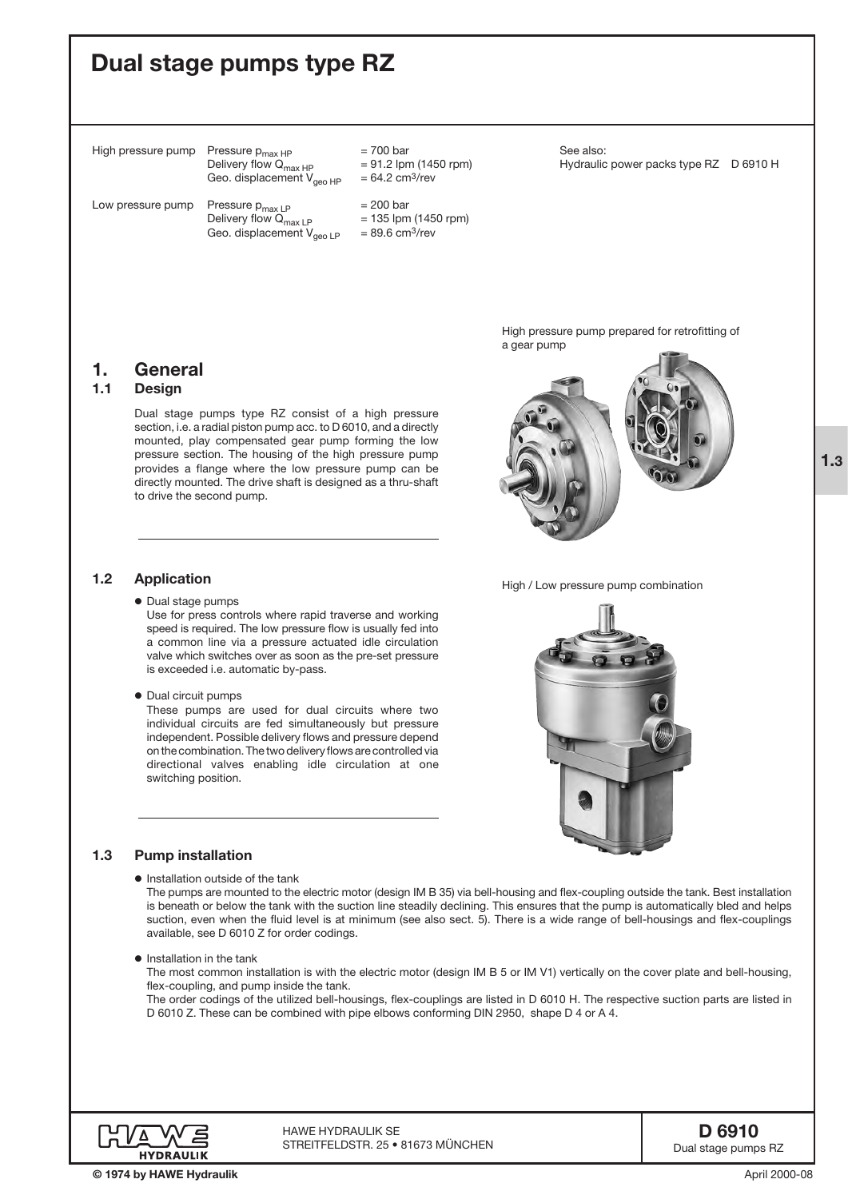# Dual stage pumps type RZ

1. General 1.1 Design

1.2 Application

High pressure pump Pressure  $p_{max HP}$  = 700 bar<br>Delivery flow  $Q_{max HP}$  = 91.2 lpm (1450 rpm) Delivery flow  $Q_{\text{max HP}}$  = 91.2 lpm (1450 rpm) = 64.2 cm<sup>3</sup>/rev Geo. displacement  $V_{geo HP}$ 

> provides a flange where the low pressure pump can be directly mounted. The drive shaft is designed as a thru-shaft

Use for press controls where rapid traverse and working speed is required. The low pressure flow is usually fed into a common line via a pressure actuated idle circulation valve which switches over as soon as the pre-set pressure

These pumps are used for dual circuits where two individual circuits are fed simultaneously but pressure independent. Possible delivery flows and pressure depend on the combination. The two delivery flows are controlled via directional valves enabling idle circulation at one

Low pressure pump Pressure  $p_{max LP}$  = 200 bar<br>Delivery flow  $Q_{max IP}$  = 135 lpm (1450 rpm) Delivery flow  $Q_{\text{max LP}}$  = 135 lpm (145<br>Geo. displacement  $V_{\text{mean IP}}$  = 89.6 cm<sup>3</sup>/rev Geo. displacement  $V_{geo \, LP}$ 

to drive the second pump.

o Dual stage pumps

o Dual circuit pumps

switching position.

See also: Hydraulic power packs type RZ D 6910 H

High pressure pump prepared for retrofitting of a gear pump







High / Low pressure pump combination



o Installation outside of the tank

is exceeded i.e. automatic by-pass.

The pumps are mounted to the electric motor (design IM B 35) via bell-housing and flex-coupling outside the tank. Best installation is beneath or below the tank with the suction line steadily declining. This ensures that the pump is automatically bled and helps suction, even when the fluid level is at minimum (see also sect. 5). There is a wide range of bell-housings and flex-couplings available, see D 6010 Z for order codings.

**•** Installation in the tank

The most common installation is with the electric motor (design IM B 5 or IM V1) vertically on the cover plate and bell-housing, flex-coupling, and pump inside the tank.

The order codings of the utilized bell-housings, flex-couplings are listed in D 6010 H. The respective suction parts are listed in D 6010 Z. These can be combined with pipe elbows conforming DIN 2950, shape D 4 or A 4.



HAWE Hydraulik SE STREITFELDSTR. 25 • 81673 MÜNCHEN 1.3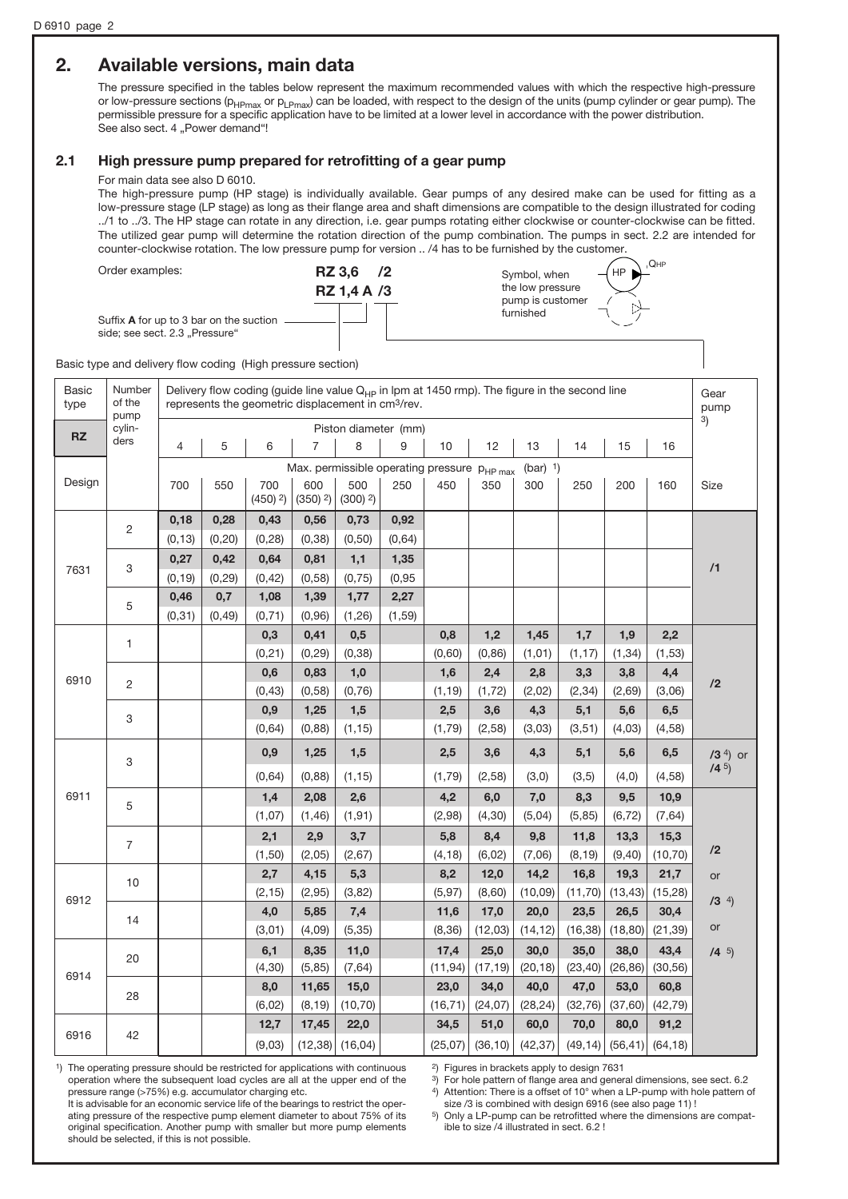# 2. Available versions, main data

The pressure specified in the tables below represent the maximum recommended values with which the respective high-pressure or low-pressure sections (p<sub>HPmax</sub> or p<sub>LPmax</sub>) can be loaded, with respect to the design of the units (pump cylinder or gear pump). The permissible pressure for a specific application have to be limited at a lower level in accordance with the power distribution. See also sect. 4 "Power demand"!

### 2.1 High pressure pump prepared for retrofitting of a gear pump

### For main data see also D 6010.

The high-pressure pump (HP stage) is individually available. Gear pumps of any desired make can be used for fitting as a low-pressure stage (LP stage) as long as their flange area and shaft dimensions are compatible to the design illustrated for coding ../1 to ../3. The HP stage can rotate in any direction, i.e. gear pumps rotating either clockwise or counter-clockwise can be fitted. The utilized gear pump will determine the rotation direction of the pump combination. The pumps in sect. 2.2 are intended for counter-clockwise rotation. The low pressure pump for version .. /4 has to be furnished by the customer.  $Q<sub>HF</sub>$ 

Order examples:





HP

Basic type and delivery flow coding (High pressure section)

Suffix A for up to 3 bar on the suction side; see sect. 2.3 "Pressure"

| <b>Basic</b><br>type | Number<br>of the<br>pump | Delivery flow coding (guide line value Q <sub>HP</sub> in lpm at 1450 rmp). The figure in the second line<br>represents the geometric displacement in cm <sup>3</sup> /rev. |                      |                               |                               |                               |         |          |          | Gear<br>pump |          |          |                  |                        |         |          |
|----------------------|--------------------------|-----------------------------------------------------------------------------------------------------------------------------------------------------------------------------|----------------------|-------------------------------|-------------------------------|-------------------------------|---------|----------|----------|--------------|----------|----------|------------------|------------------------|---------|----------|
| <b>RZ</b>            | cylin-                   |                                                                                                                                                                             | Piston diameter (mm) |                               |                               |                               |         |          |          |              |          |          | $\left(3\right)$ |                        |         |          |
|                      | ders                     | $\overline{4}$                                                                                                                                                              | 5                    | 6                             | $\overline{7}$                | 8                             | 9       | 10       | 12       | 13           | 14       | 15       | 16               |                        |         |          |
|                      |                          | $(bar)$ <sup>1</sup> )<br>Max. permissible operating pressure PHP max                                                                                                       |                      |                               |                               |                               |         |          |          |              |          |          |                  |                        |         |          |
| Design               |                          | 700                                                                                                                                                                         | 550                  | 700<br>$(450)$ <sup>2</sup> ) | 600<br>$(350)$ <sup>2</sup> ) | 500<br>$(300)$ <sup>2</sup> ) | 250     | 450      | 350      | 300          | 250      | 200      | 160              | <b>Size</b>            |         |          |
|                      | 2                        | 0,18                                                                                                                                                                        | 0,28                 | 0,43                          | 0,56                          | 0,73                          | 0,92    |          |          |              |          |          |                  |                        |         |          |
|                      |                          | (0, 13)                                                                                                                                                                     | (0, 20)              | (0, 28)                       | (0, 38)                       | (0, 50)                       | (0,64)  |          |          |              |          |          |                  |                        |         |          |
|                      | 3                        | 0,27                                                                                                                                                                        | 0,42                 | 0,64                          | 0,81                          | 1,1                           | 1,35    |          |          |              |          |          |                  | /1                     |         |          |
| 7631                 |                          | (0, 19)                                                                                                                                                                     | (0, 29)              | (0, 42)                       | (0, 58)                       | (0, 75)                       | (0, 95) |          |          |              |          |          |                  |                        |         |          |
|                      | 5                        | 0,46                                                                                                                                                                        | 0,7                  | 1,08                          | 1,39                          | 1,77                          | 2,27    |          |          |              |          |          |                  |                        |         |          |
|                      |                          | (0, 31)                                                                                                                                                                     | (0, 49)              | (0, 71)                       | (0, 96)                       | (1, 26)                       | (1, 59) |          |          |              |          |          |                  |                        |         |          |
|                      | $\mathbf{1}$             |                                                                                                                                                                             |                      | 0,3                           | 0,41                          | 0,5                           |         | 0,8      | 1,2      | 1,45         | 1,7      | 1,9      | 2,2              |                        |         |          |
|                      |                          |                                                                                                                                                                             |                      | (0, 21)                       | (0, 29)                       | (0, 38)                       |         | (0,60)   | (0, 86)  | (1, 01)      | (1, 17)  | (1, 34)  | (1,53)           |                        |         |          |
| 6910                 | $\overline{c}$           |                                                                                                                                                                             |                      | 0,6                           | 0,83                          | 1,0                           |         | 1,6      | 2,4      | 2,8          | 3,3      | 3,8      | 4,4              | /2                     |         |          |
|                      |                          |                                                                                                                                                                             |                      | (0, 43)                       | (0, 58)                       | (0, 76)                       |         | (1, 19)  | (1, 72)  | (2,02)       | (2, 34)  | (2,69)   | (3,06)           |                        |         |          |
|                      | 3                        |                                                                                                                                                                             |                      | 0,9                           | 1,25                          | 1,5                           |         | 2,5      | 3,6      | 4,3          | 5,1      | 5,6      | 6,5              |                        |         |          |
|                      |                          |                                                                                                                                                                             |                      | (0, 64)                       | (0, 88)                       | (1, 15)                       |         | (1, 79)  | (2,58)   | (3,03)       | (3,51)   | (4,03)   | (4, 58)          |                        |         |          |
|                      | 3                        |                                                                                                                                                                             |                      | 0,9                           | 1,25                          | 1,5                           |         | 2,5      | 3,6      | 4,3          | 5,1      | 5,6      | 6,5              | $(3^4)$ or<br>$/4^{5}$ |         |          |
|                      |                          |                                                                                                                                                                             |                      | (0, 64)                       | (0, 88)                       | (1, 15)                       |         | (1,79)   | (2,58)   | (3,0)        | (3, 5)   | (4,0)    | (4,58)           |                        |         |          |
| 6911                 | 5                        |                                                                                                                                                                             |                      | 1,4                           | 2,08                          | 2,6                           |         | 4,2      | 6,0      | 7,0          | 8,3      | 9,5      | 10,9             |                        |         |          |
|                      |                          |                                                                                                                                                                             |                      | (1,07)                        | (1, 46)                       | (1, 91)                       |         | (2,98)   | (4, 30)  | (5,04)       | (5, 85)  | (6, 72)  | (7, 64)          |                        |         |          |
|                      | $\overline{7}$           |                                                                                                                                                                             |                      | 2,1                           | 2,9                           | 3,7                           |         | 5,8      | 8,4      | 9,8          | 11,8     | 13,3     | 15,3             |                        |         |          |
|                      |                          |                                                                                                                                                                             |                      | (1, 50)                       | (2,05)                        | (2,67)                        |         | (4, 18)  | (6, 02)  | (7,06)       | (8, 19)  | (9, 40)  | (10, 70)         | /2                     |         |          |
| 6912                 | 10                       |                                                                                                                                                                             |                      |                               |                               | 2,7                           | 4,15    | 5,3      |          | 8,2          | 12,0     | 14,2     | 16,8             | 19,3                   | 21,7    | or       |
|                      |                          |                                                                                                                                                                             |                      |                               |                               |                               |         |          | (2, 15)  | (2,95)       | (3, 82)  |          | (5, 97)          | (8,60)                 | (10,09) | (11, 70) |
|                      | 14                       |                                                                                                                                                                             |                      | 4,0                           | 5,85                          | 7,4                           |         | 11,6     | 17,0     | 20,0         | 23,5     | 26,5     | 30,4             |                        |         |          |
|                      |                          |                                                                                                                                                                             |                      |                               | (3,01)                        | (4,09)                        | (5, 35) |          | (8, 36)  | (12, 03)     | (14, 12) | (16, 38) | (18, 80)         | (21, 39)               | or      |          |
| 6914                 | 20                       |                                                                                                                                                                             |                      |                               |                               | 6,1                           | 8,35    | 11,0     |          | 17,4         | 25,0     | 30,0     | 35,0             | 38,0                   | 43,4    | /45      |
|                      |                          |                                                                                                                                                                             |                      | (4, 30)                       | (5, 85)                       | (7, 64)                       |         | (11, 94) | (17, 19) | (20, 18)     | (23, 40) | (26, 86) | (30, 56)         |                        |         |          |
|                      | 28                       |                                                                                                                                                                             |                      | 8,0                           | 11,65                         | 15,0                          |         | 23,0     | 34,0     | 40,0         | 47,0     | 53,0     | 60,8             |                        |         |          |
|                      |                          |                                                                                                                                                                             |                      | (6, 02)                       | (8, 19)                       | (10, 70)                      |         | (16, 71) | (24, 07) | (28, 24)     | (32, 76) | (37, 60) | (42, 79)         |                        |         |          |
| 6916                 | 42                       |                                                                                                                                                                             |                      | 12,7                          | 17,45                         | 22,0                          |         | 34,5     | 51,0     | 60,0         | 70,0     | 80,0     | 91,2             |                        |         |          |
|                      |                          |                                                                                                                                                                             |                      | (9,03)                        | (12, 38)                      | (16, 04)                      |         | (25,07)  | (36, 10) | (42, 37)     | (49, 14) | (56, 41) | (64, 18)         |                        |         |          |

<sup>1</sup>) The operating pressure should be restricted for applications with continuous operation where the subsequent load cycles are all at the upper end of the pressure range (>75%) e.g. accumulator charging etc.

<sup>2</sup>) Figures in brackets apply to design 7631<br><sup>3</sup>) For hole pattern of flange area and general dimensions, see sect, 6,2

4) Attention: There is a offset of 10° when a LP-pump with hole pattern of size /3 is combined with design 6916 (see also page 11)!

It is advisable for an economic service life of the bearings to restrict the operating pressure of the respective pump element diameter to about 75% of its original specification. Another pump with smaller but more pump elements should be selected, if this is not possible.

5) Only a LP-pump can be retrofitted where the dimensions are compatible to size /4 illustrated in sect. 6.2 !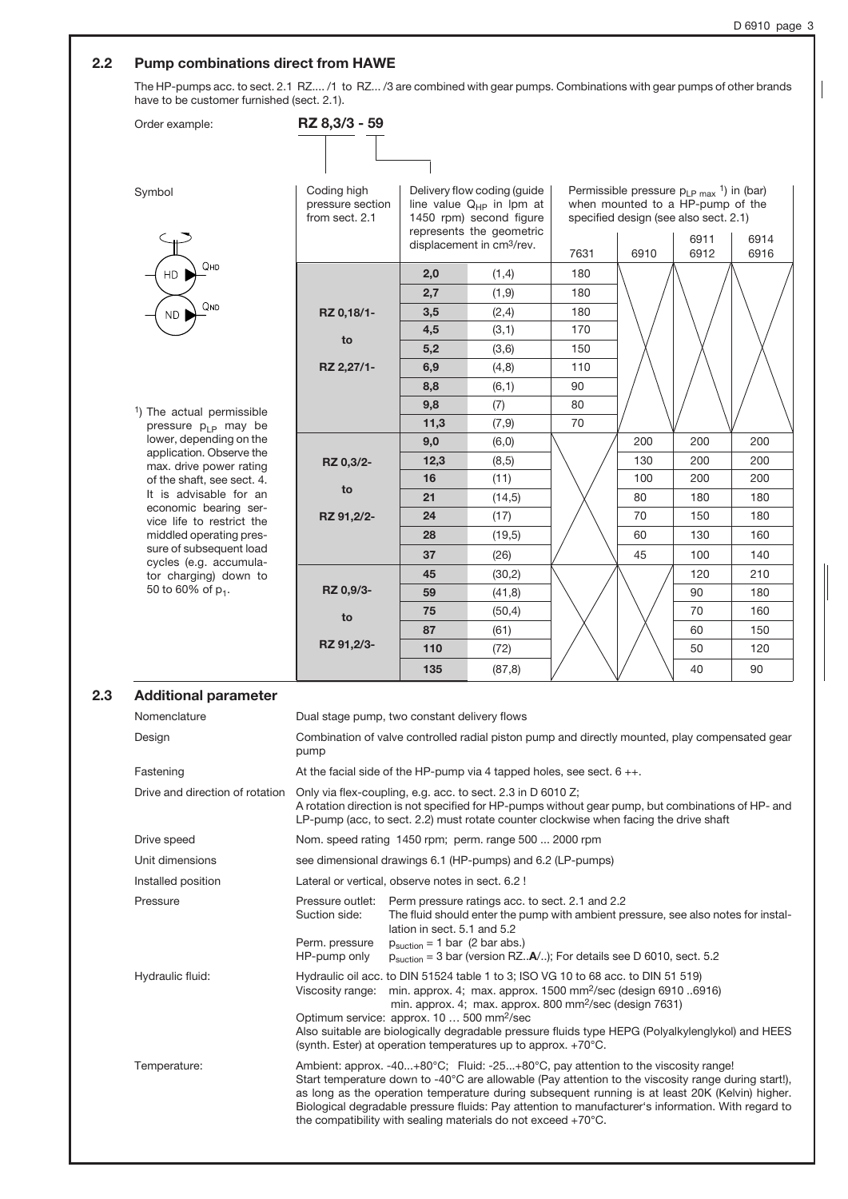### 2.2 Pump combinations direct from HAWE

The HP-pumps acc. to sect. 2.1 RZ.... /1 to RZ... /3 are combined with gear pumps. Combinations with gear pumps of other brands have to be customer furnished (sect. 2.1).

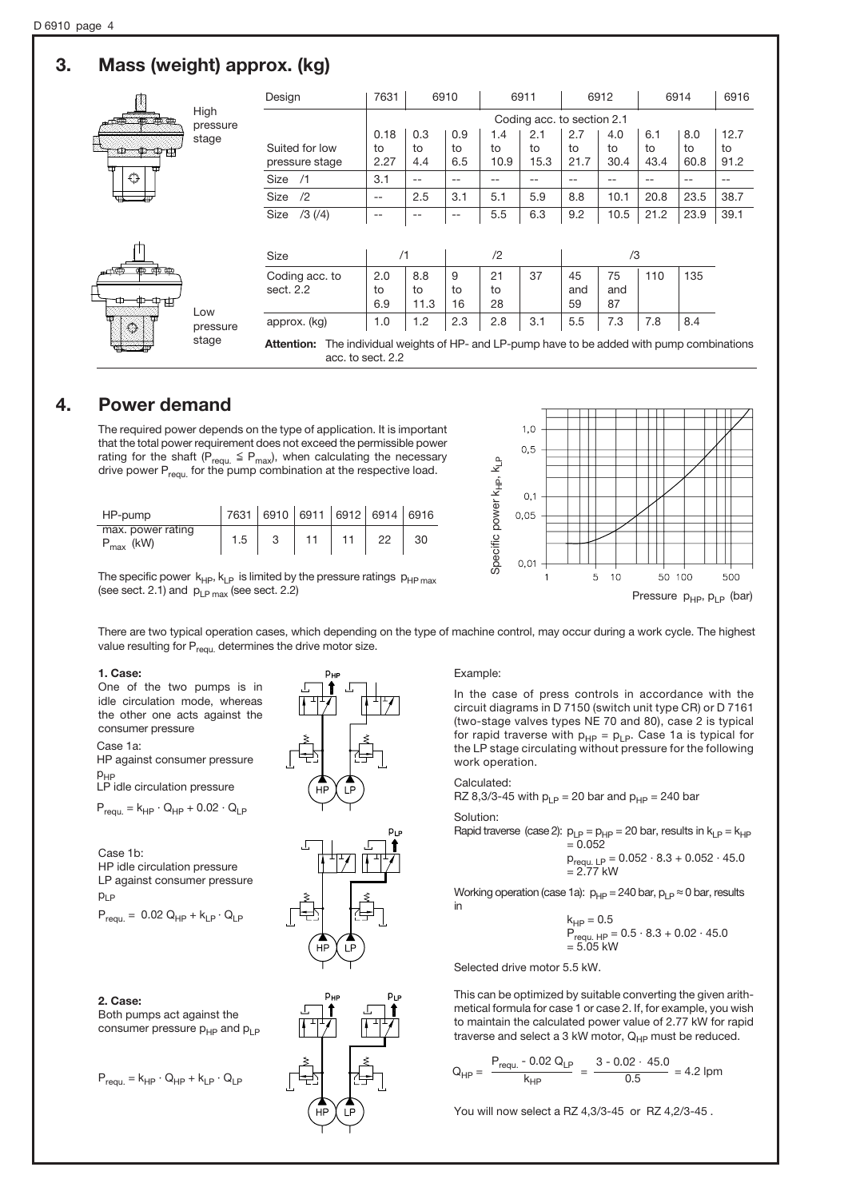# 3. Mass (weight) approx. (kg)

|                  | High<br>pressure<br>stage | Design                                                                                                                      | 7631               |                  | 6910             | 6911              |                   | 6912              |                   | 6914              |                   | 6916               |
|------------------|---------------------------|-----------------------------------------------------------------------------------------------------------------------------|--------------------|------------------|------------------|-------------------|-------------------|-------------------|-------------------|-------------------|-------------------|--------------------|
| an an an         |                           | Coding acc. to section 2.1                                                                                                  |                    |                  |                  |                   |                   |                   |                   |                   |                   |                    |
| ▥                |                           | Suited for low<br>pressure stage                                                                                            | 0.18<br>to<br>2.27 | 0.3<br>to<br>4.4 | 0.9<br>to<br>6.5 | 1.4<br>to<br>10.9 | 2.1<br>to<br>15.3 | 2.7<br>to<br>21.7 | 4.0<br>to<br>30.4 | 6.1<br>to<br>43.4 | 8.0<br>to<br>60.8 | 12.7<br>to<br>91.2 |
| ↔                |                           | Size<br>/1                                                                                                                  | 3.1                | --               | $-$              | --                | --                | $- -$             | $- -$             | $- -$             | $- -$             | $- -$              |
| щ                |                           | /2<br>Size                                                                                                                  | $-$                | 2.5              | 3.1              | 5.1               | 5.9               | 8.8               | 10.1              | 20.8              | 23.5              | 38.7               |
|                  |                           | $/3$ ( $/4$ )<br>Size                                                                                                       | $-$                | --               | $- -$            | 5.5               | 6.3               | 9.2               | 10.5              | 21.2              | 23.9              | 39.1               |
|                  |                           |                                                                                                                             |                    |                  |                  |                   |                   |                   |                   |                   |                   |                    |
|                  |                           | Size                                                                                                                        | /1                 |                  | /2               |                   | /3                |                   |                   |                   |                   |                    |
| का का का<br>- 고고 |                           | Coding acc. to                                                                                                              | 2.0                | 8.8              | 9                | 21                | 37                | 45                | 75                | 110               | 135               |                    |
| 中中               | Low<br>pressure           | sect. 2.2                                                                                                                   | to<br>6.9          | to<br>11.3       | to<br>16         | to<br>28          |                   | and<br>59         | and<br>87         |                   |                   |                    |
| $\bigcirc$       |                           | approx. (kg)                                                                                                                | 1.0                | 1.2              | 2.3              | 2.8               | 3.1               | 5.5               | 7.3               | 7.8               | 8.4               |                    |
|                  | stage                     | The individual weights of HP- and LP-pump have to be added with pump combinations<br><b>Attention:</b><br>acc. to sect. 2.2 |                    |                  |                  |                   |                   |                   |                   |                   |                   |                    |

# 4. Power demand

The required power depends on the type of application. It is important that the total power requirement does not exceed the permissible power rating for the shaft ( $P_{\text{req}u} \leq P_{\text{max}}$ ), when calculating the necessary drive power  $P_{\text{real}}$  for the pump combination at the respective load.

| HP-pump                             |     | 7631 6910 6911 6912 6914 6916 |    |    |    |    |
|-------------------------------------|-----|-------------------------------|----|----|----|----|
| max. power rating<br>$P_{max}$ (kW) | 1.5 |                               | 11 | 11 | 22 | 30 |

The specific power  $k_{HP}$ ,  $k_{LP}$  is limited by the pressure ratings  $p_{HP \, max}$ (see sect. 2.1) and  $p_{\text{LP max}}$  (see sect. 2.2)



There are two typical operation cases, which depending on the type of machine control, may occur during a work cycle. The highest value resulting for  $P_{\text{requ.}}$  determines the drive motor size.

### 1. Case:

One of the two pumps is in idle circulation mode, whereas the other one acts against the consumer pressure

Case 1a: HP against consumer pressure

 $p<sub>HF</sub>$ 

LP idle circulation pressure

 $P_{\text{requ}} = k_{\text{HP}} \cdot Q_{\text{HP}} + 0.02 \cdot Q_{\text{LP}}$ 

Case 1b: HP idle circulation pressure LP against consumer pressure  $p_{LP}$ 

 $P_{\text{reau.}} = 0.02 Q_{\text{HP}} + k_{\text{LP}} \cdot Q_{\text{LP}}$ 

### 2. Case:

Both pumps act against the consumer pressure  $p_{HP}$  and  $p_{LP}$ 

 $P_{\text{requ.}} = k_{\text{HP}} \cdot Q_{\text{HP}} + k_{\text{LP}} \cdot Q_{\text{LP}}$ 



Example:

In the case of press controls in accordance with the circuit diagrams in D 7150 (switch unit type CR) or D 7161 (two-stage valves types NE 70 and 80), case 2 is typical for rapid traverse with  $p_{HP} = p_{LP}$ . Case 1a is typical for the LP stage circulating without pressure for the following work operation.

### Calculated:

RZ 8,3/3-45 with  $p_{LP} = 20$  bar and  $p_{HP} = 240$  bar

Solution:

Rapid traverse (case 2):  $p_{LP} = p_{HP} = 20$  bar, results in  $k_{LP} = k_{HP}$  $= 0.052$ 

$$
p_{requ. LP} = 0.052 \cdot 8.3 + 0.052 \cdot 45.0
$$
  
= 2.77 kW

Working operation (case 1a):  $p_{HP} = 240$  bar,  $p_{LP} \approx 0$  bar, results in

$$
k_{HP} = 0.5
$$
  
Pr<sub>equ. HP</sub> = 0.5 · 8.3 + 0.02 · 45.0  
= 5.05 kW

Selected drive motor 5.5 kW.

This can be optimized by suitable converting the given arithmetical formula for case 1 or case 2. If, for example, you wish to maintain the calculated power value of 2.77 kW for rapid traverse and select a 3 kW motor,  $Q_{HP}$  must be reduced.

$$
Q_{HP} = \frac{P_{requ.} - 0.02 Q_{LP}}{k_{HP}} = \frac{3 - 0.02 \cdot 45.0}{0.5} = 4.2
$$
lpm

You will now select a RZ 4,3/3-45 or RZ 4,2/3-45 .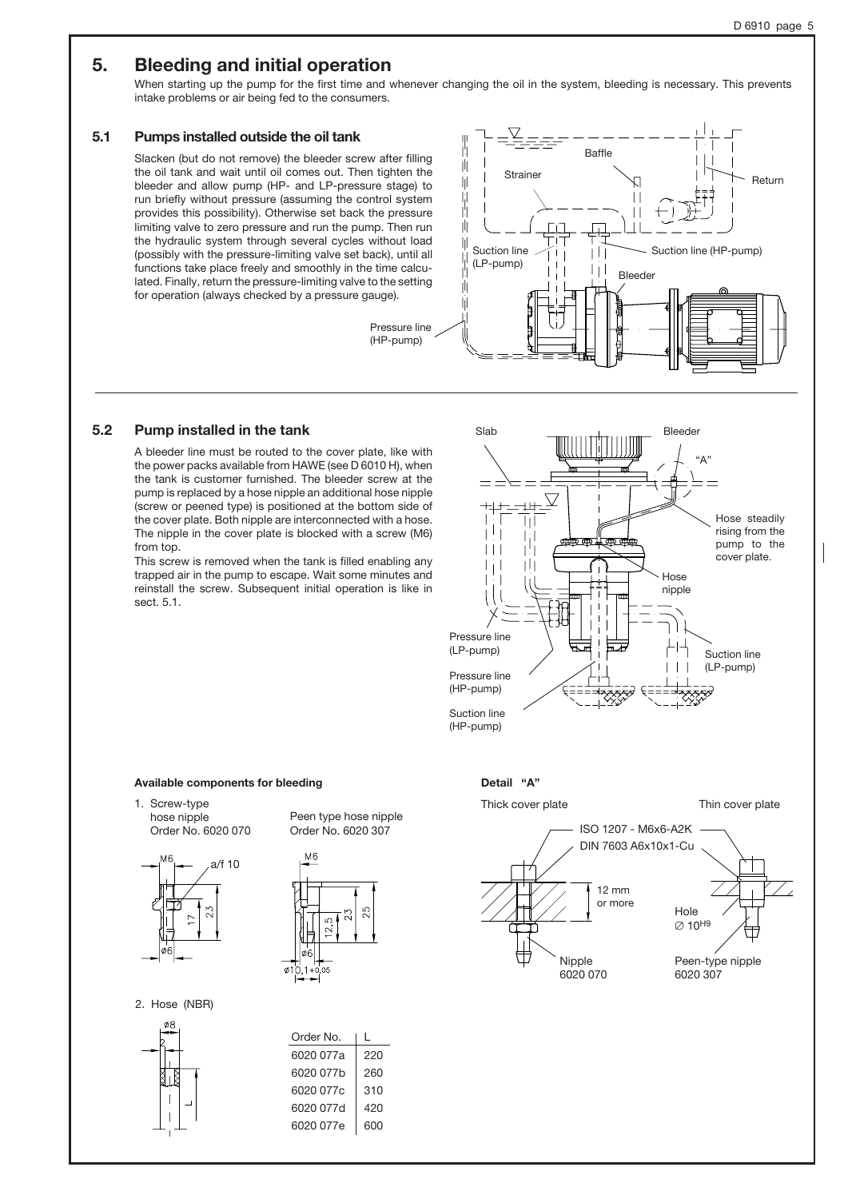# 5. Bleeding and initial operation

When starting up the pump for the first time and whenever changing the oil in the system, bleeding is necessary. This prevents intake problems or air being fed to the consumers.

## 5.1 Pumps installed outside the oil tank

Slacken (but do not remove) the bleeder screw after filling the oil tank and wait until oil comes out. Then tighten the bleeder and allow pump (HP- and LP-pressure stage) to run briefly without pressure (assuming the control system provides this possibility). Otherwise set back the pressure limiting valve to zero pressure and run the pump. Then run the hydraulic system through several cycles without load (possibly with the pressure-limiting valve set back), until all functions take place freely and smoothly in the time calculated. Finally, return the pressure-limiting valve to the setting for operation (always checked by a pressure gauge).





## 5.2 Pump installed in the tank

A bleeder line must be routed to the cover plate, like with the power packs available from HAWE (see D 6010 H), when the tank is customer furnished. The bleeder screw at the pump is replaced by a hose nipple an additional hose nipple (screw or peened type) is positioned at the bottom side of the cover plate. Both nipple are interconnected with a hose. The nipple in the cover plate is blocked with a screw (M6) from top.

This screw is removed when the tank is filled enabling any trapped air in the pump to escape. Wait some minutes and reinstall the screw. Subsequent initial operation is like in sect. 5.1.



#### Available components for bleeding

1. Screw-type hose nipple Order No. 6020 070



Peen type hose nipple Order No. 6020 307



2. Hose (NBR)



| Order No. | L   |
|-----------|-----|
| 6020 077a | 220 |
| 6020 077b | 260 |
| 6020 077c | 310 |
| 6020 077d | 420 |
| 6020 077e | 600 |
|           |     |

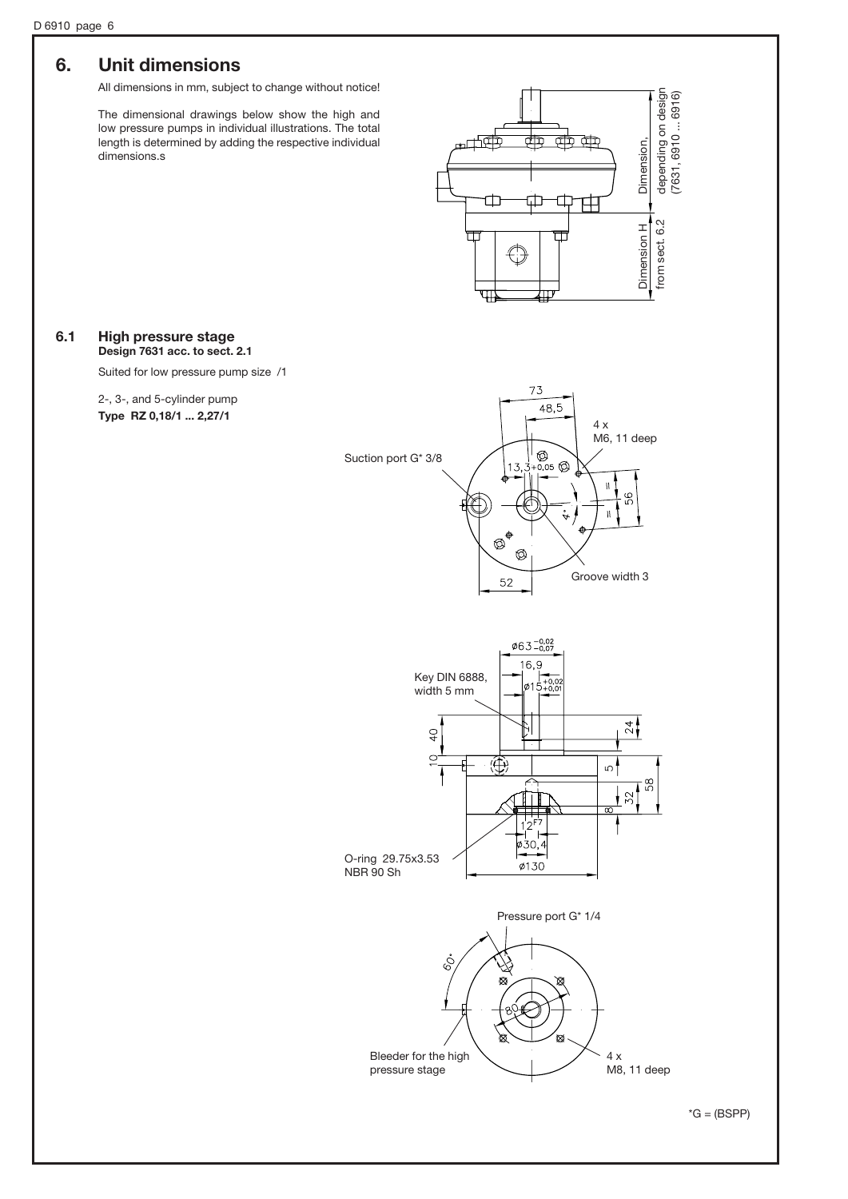## 6. Unit dimensions

All dimensions in mm, subject to change without notice!

The dimensional drawings below show the high and low pressure pumps in individual illustrations. The total length is determined by adding the respective individual dimensions.s



### 6.1 High pressure stage Design 7631 acc. to sect. 2.1

Suited for low pressure pump size /1

2-, 3-, and 5-cylinder pump Type RZ 0,18/1 ... 2,27/1





 $*G = (BSPP)$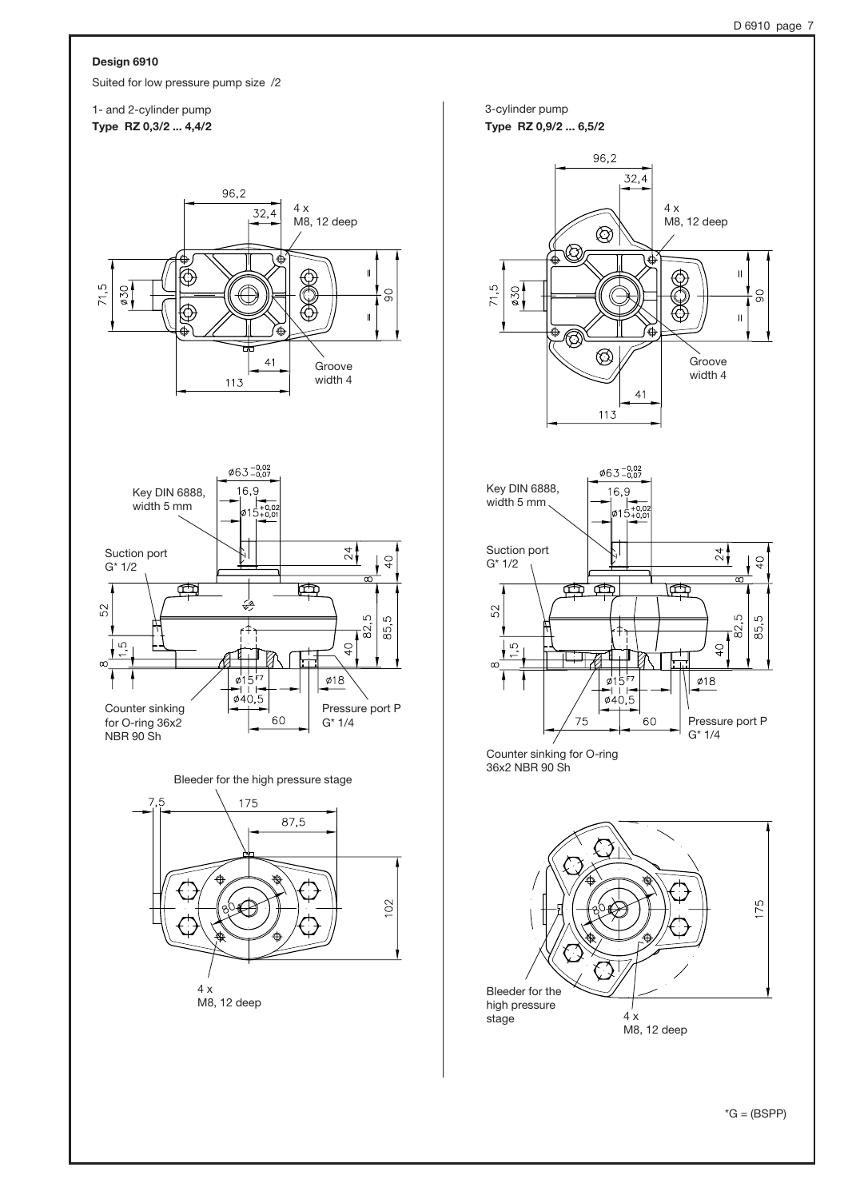### Design 6910

Suited for low pressure pump size /2

### 1- and 2-cylinder pump Type RZ 0,3/2 ... 4,4/2







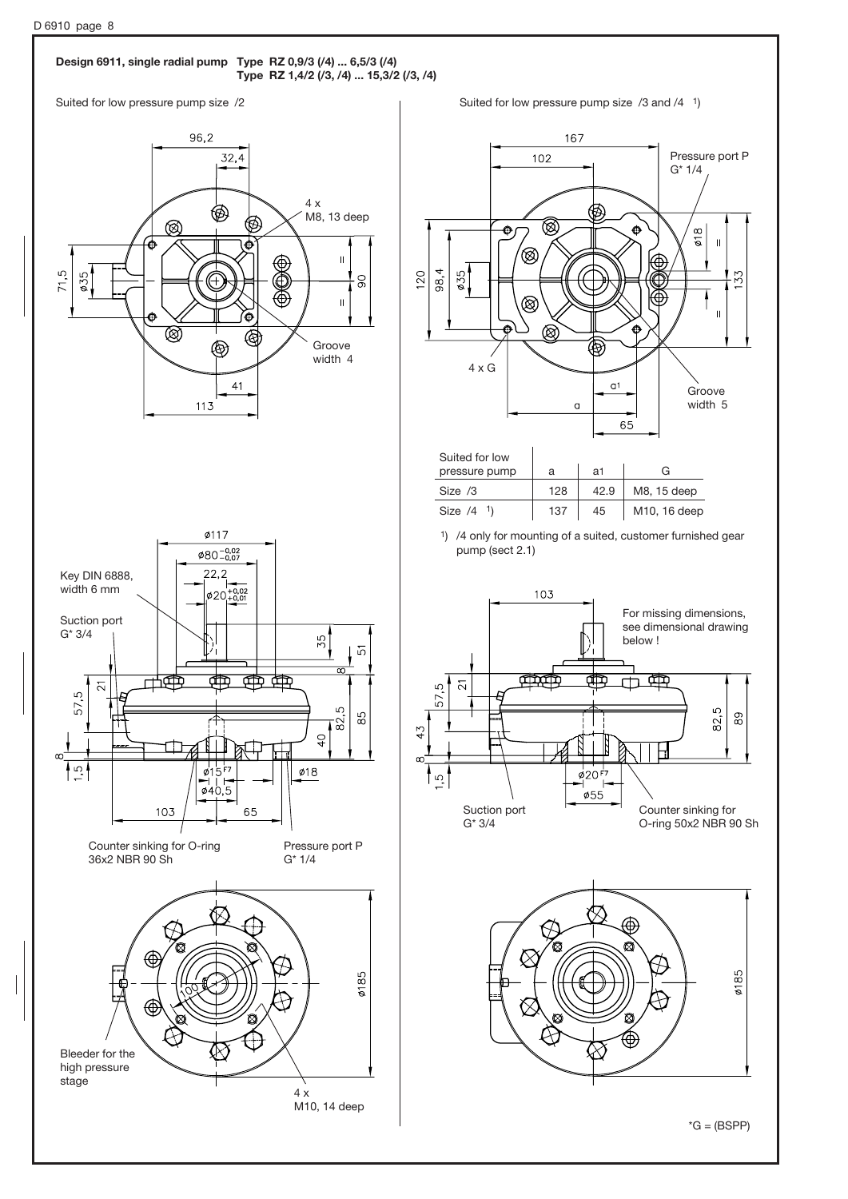### Design 6911, single radial pump Type RZ 0,9/3 (/4) ... 6,5/3 (/4) Type RZ 1,4/2 (/3, /4) ... 15,3/2 (/3, /4)



Suited for low pressure pump size /2 Suited for low pressure pump size /3 and /4 <sup>1</sup>)

167





4 x

M10, 14 deep

stage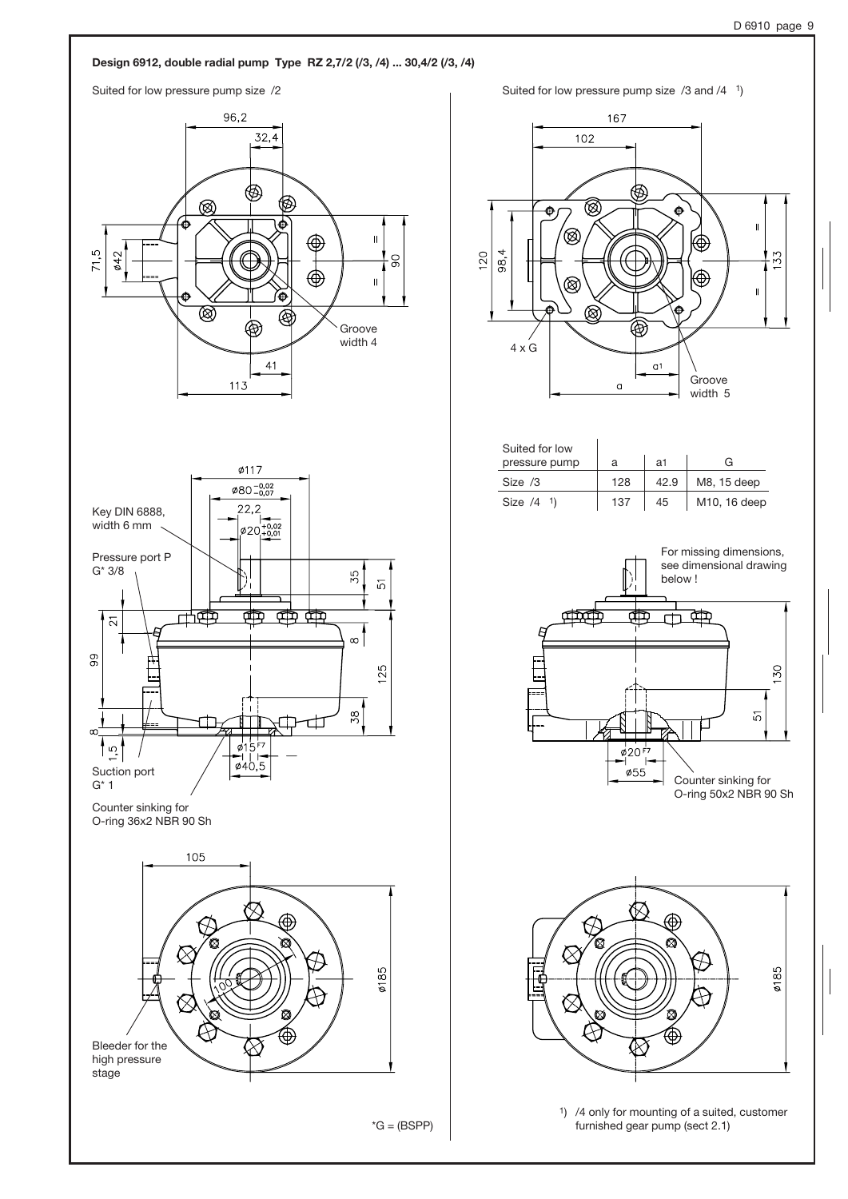### Design 6912, double radial pump Type RZ 2,7/2 (/3, /4) ... 30,4/2 (/3, /4)







 $*G = (BSPP)$ 





| Suited for low           |     |      |                           |
|--------------------------|-----|------|---------------------------|
| pressure pump            |     | а1   | G.                        |
| Size $/3$                | 128 | 42.9 | M8, 15 deep               |
| Size $/4$ <sup>1</sup> ) | 137 | 45   | M <sub>10</sub> , 16 deep |





1) /4 only for mounting of a suited, customer furnished gear pump (sect 2.1)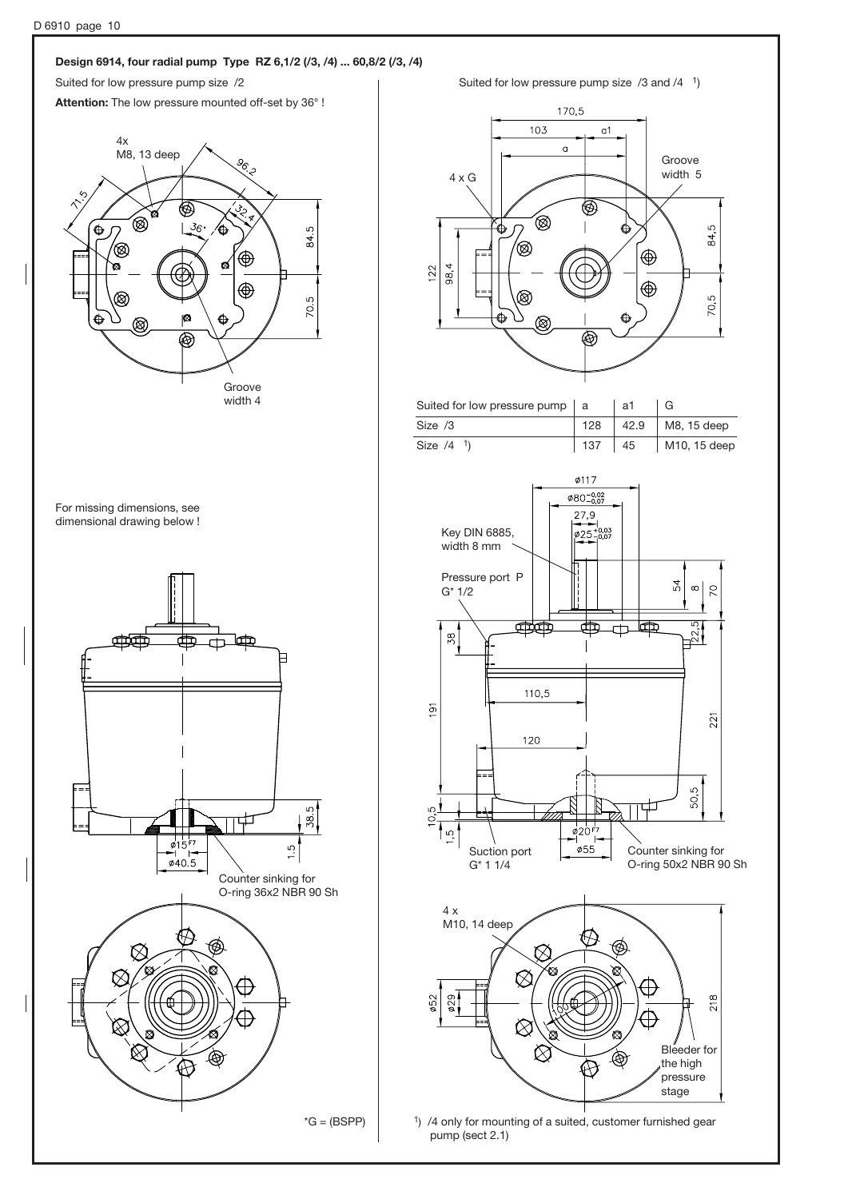# D 6910 page 10 Design 6914, four radial pump Type RZ 6,1/2 (/3, /4) ... 60,8/2 (/3, /4) Suited for low pressure pump size /2 Suited for low pressure pump size /3 and /4 <sup>1</sup>) Attention: The low pressure mounted off-set by 36° ! 4x M8, 13 deep **Percent** ⊛ ۵  $36$  $\hat{\mathbf{\Theta}}$ ഥ ¢  $\approx$ (®) ٰ త ۲Ś  $122$  $\bigoplus$ 70.5 ጵ iØ.  $\bigoplus$ Ć ®  $\overline{\circledast}$ Groove width 4 For missing dimensions, see dimensional drawing below ! **de posición de la composición de la composición de la composición de la composición de la composición de la c** ╓╇╦ Ŧ Irπ Ħ  $\overline{9}$  $\frac{1}{38.5}$ ഗ 中  $\sigma$ 15  $\ddot{c}$  $\phi$ 40.5 Counter sinking for O-ring 36x2 NBR 90 Sh 52

 $*G = (BSPP)$ 



1) /4 only for mounting of a suited, customer furnished gear pump (sect 2.1)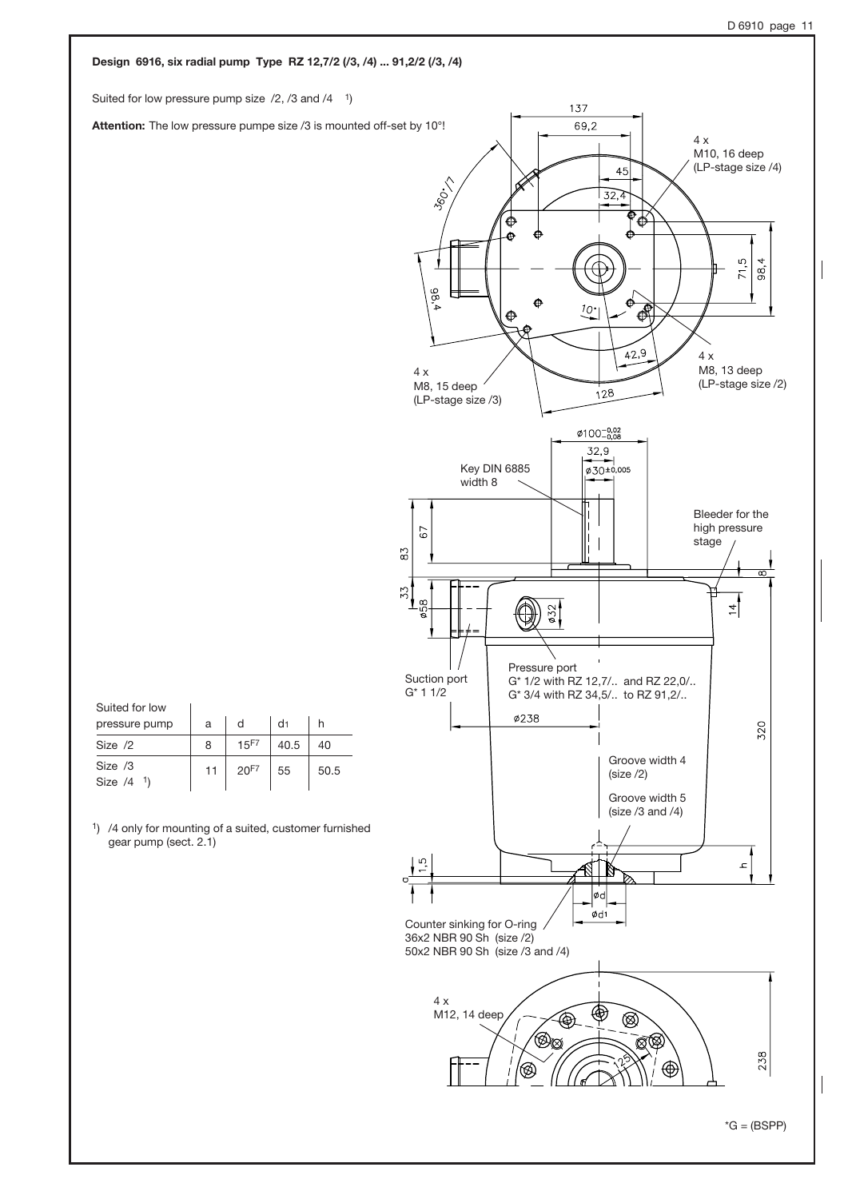#### Design 6916, six radial pump Type RZ 12,7/2 (/3, /4) ... 91,2/2 (/3, /4) Suited for low pressure pump size  $/2$ ,  $/3$  and  $/4$ <sup>1</sup>) 137 69,2 Attention: The low pressure pumpe size /3 is mounted off-set by 10°! 4 x M10, 16 deep (LP-stage size /4)  $45$ 360-17  $32,4$ ക് € ė  $71,5$ ာ<br>၁၁  $\frac{98}{4}$ ó Á  $10 \overrightarrow{A}$ Ф  $\overline{42,9}$ 4 x M8, 13 deep 4 x M8, 15 deep (LP-stage size /2)  $128$ (LP-stage size /3)  $\varphi$ 100<sup>-0,02</sup> 32,9  $\left| \right|_{{\phi_{30}^{\pm 0,005}}}$ Key DIN 6885 width 8 Bleeder for the high pressure 67 stage  $\mathcal{E}8$ 53 œ  $\phi$ 32  $\frac{4}{1}$ Pressure port Suction port G\* 1/2 with RZ 12,7/.. and RZ 22,0/.. G\* 1 1/2 G\* 3/4 with RZ 34,5/.. to RZ 91,2/.. Suited for low Ø238 pressure pump d d1 h a 320 15F7 Size /2 8 40.5 40 Groove width 4 Size /3 11 20F7 55 50.5 (size /2) Size /4 1) Groove width 5 (size /3 and /4) 1) /4 only for mounting of a suited, customer furnished gear pump (sect. 2.1) LC,  $\mathcal{L}$ ⋉ ød  $Ød1$ Counter sinking for O-ring 36x2 NBR 90 Sh (size /2) 50x2 NBR 90 Sh (size /3 and /4) 4 x M12, 14 deep  $\circledR$ `'® Q 238 'ඹ ⊕

 $*G = (BSPP)$